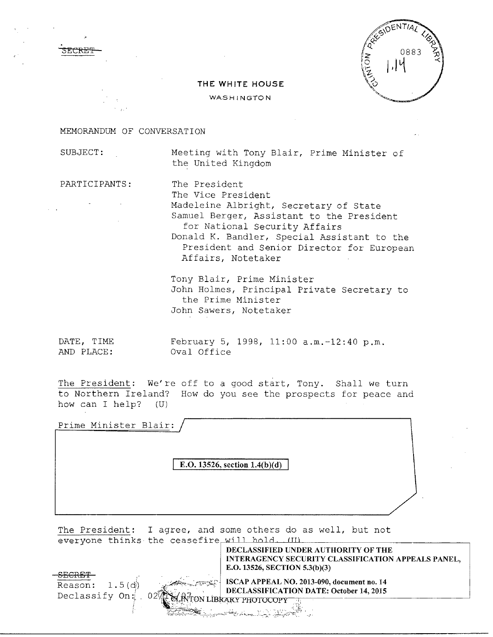

## **THE WHITE HOUSE**

WASHINGTON

## MEMORANDUM OF CONVERSATION

SECKE'f

SUBJECT: Meeting with Tony Blair, Prime Minister of the United Kingdom

PARTICIPANTS: The President

The Vice President Madeleine Albright, Secretary of State Samuel Berger, Assistant to the President for National Security Affairs Donald K. Bandler, Special Assistant to the President and Senior Director for European Affairs, Notetaker

Tony Blair, Prime Minister John Holmes, Principal Private Secretary to the Prime Minister John Sawers, Notetaker

AND PLACE: Oval Office

DATE, TIME February 5, 1998, 11:00 a.m.-12:40 p.m.

The President: We're off to a good start, Tony. Shall we turn to Northern Ireland? How do you see the prospects for peace and how can I help? (U)

Prime Minister Blair:

**E.O. 13526, section 1.4(b)(d)** 

The President: I agree, and some others do as well, but not everyone thinks the ceasefire will hold. III

**DECLASSIFIED UNDER AUTHORITY OF THE INTERAGENCY SECURITY CLASSIFICATION APPEALS PANEL, E.0.13526, SECTION 5.3(b)(3)** 

**SECRET**   $Reson: 1.5(d)$ Declassify On:

-02

**ISCAP APPEAL NO. 2013-090, document no. 14 DECLASSIFICATION DATE: October 14, 2015**<br>FON LIBRARY PHOTOCOPY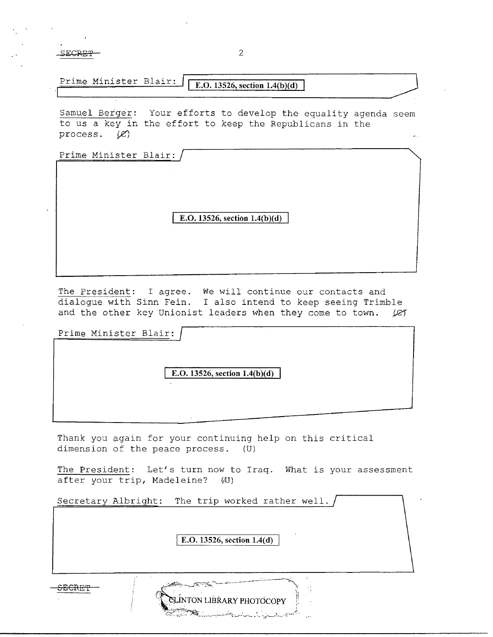$SECRE$ <del>l'</del> 2

Prime Minister Blair: **E.O. 13526, section 1.4(b)(d)** 

Samuel Berger: Your efforts to develop the equality agenda seem to us a key in the effort to keep the Republicans in the process.  $\chi$ 

Prime Minister Blair:

**E.O. 13526, section 1.4(b)(d)** 

The President: I agree. We will continue our contacts and dialogue with Sinn Fein. I also intend to keep seeing Trimble and the other key Unionist leaders when they come to town.  $\mathcal{L}$ 

Prime Minister Blair: **E.O.** 13526, section  $1.4(b)(d)$ 

Thank you again for your continuing help on this critical dimension of the peace process. (U)

The President: Let's turn now to Iraq. What is your assessment after your trip, Madeleine? (U)

| Secretary Albright: | The trip worked rather well.                                |  |
|---------------------|-------------------------------------------------------------|--|
|                     | E.O. 13526, section $1.4(d)$                                |  |
| ananam              | CLINTON LIBRARY PHOTOCOPY<br><b>SECONDECE IN CONTRACTOR</b> |  |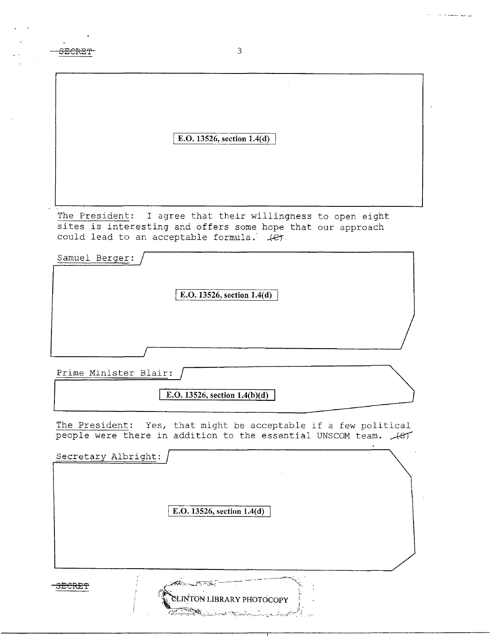| E.O. 13526, section 1.4(d)                                                                                                                                                 |
|----------------------------------------------------------------------------------------------------------------------------------------------------------------------------|
| The President:<br>I agree that their willingness to open eight<br>sites is interesting and offers some hope that our approach<br>could lead to an acceptable formula. (et. |
| Samuel Berger:                                                                                                                                                             |
| E.O. 13526, section 1.4(d)                                                                                                                                                 |
|                                                                                                                                                                            |
| Prime Minister Blair:<br>E.O. 13526, section $1.4(b)(d)$                                                                                                                   |
| The President:<br>Yes, that might be acceptable if a few political<br>people were there in addition to the essential UNSCOM team. 487                                      |
| Secretary Albright:                                                                                                                                                        |
| E.O. 13526, section 1.4(d)                                                                                                                                                 |
| CLINTON LIBRARY PHOTOCOPY<br>لمستسلم والمتوازنة                                                                                                                            |

end and the second second second second second second second second second second second second second second second second second second second second second second second second second second second second second second

 $\sim 10$ 

البراسي للمسحم أحداث ودا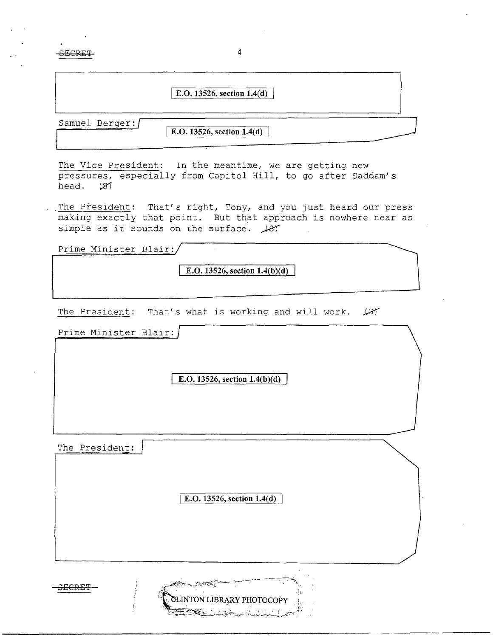**SECRET** 

## E.O. 13526, section 1.4(d)

4

Samuel Berger:

**E.O. 13526, section 1.4(d)** 

The Vice President: In the meantime, we are getting new pressures, especially from Capitol Hill, to go after Saddam's head. *l21* 

The President: That's right, Tony, and you just heard our press making exactly that point. But that approach is nowhere near as simple as it sounds on the surface.  $\sqrt{81}$ 

Prime Minister Blair:

**E.O. 13526, section l.4(b**)(d)

The President: That's what is working and will work.  $\cancel{\bot}$   $\cancel{\bot}$ 

Prime Minister Blair:

**E.O. 13526, section 1.4(b)(d)** 

The President:

E.O. 13526, section 1.4(d)

LINTON LIBRARY PHOTOCOPY

San K

SECRE'f'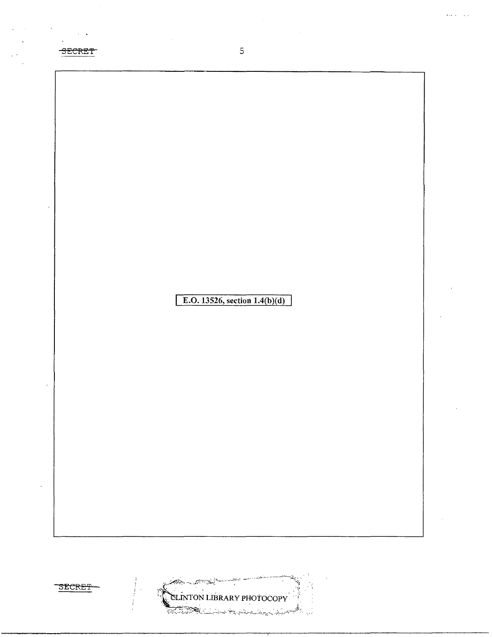

 $\bar{z}$  .





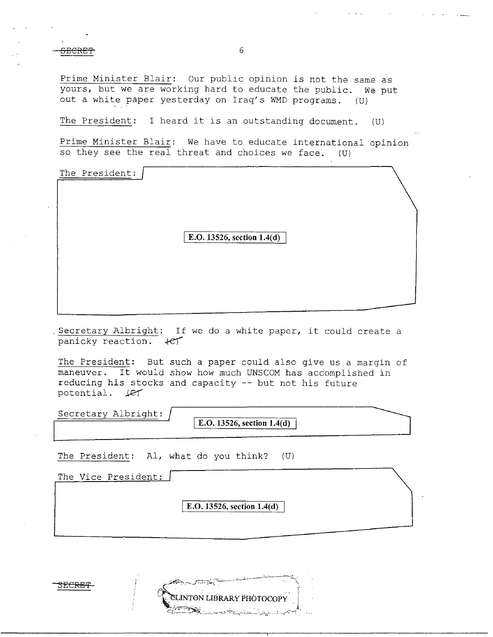SECRET 6

Prime Minister Blair: Our public opinion is not the same as yours, but we are working hard to educate the public. We put out a white paper yesterday on Iraq's WMD programs. (U)

The President: I heard it is an outstanding document. (U)

Prime Minister Blair: We have to educate international opinion so they see the real threat and choices we face. (U)

| The President: |                              |  |
|----------------|------------------------------|--|
|                |                              |  |
|                | E.O. 13526, section $1.4(d)$ |  |
|                |                              |  |
|                |                              |  |

, Secretary Albright: If we do a white paper, it could create a panicky reaction.  $+e\tau$ 

The President: But such a paper could also give us a margin of maneuver. It would show how much UNSCOM has accomplished in reducing his stocks and capacity -- but not his future potential.  $\text{LFT}$ 

Secretary Albright:

**E.O. 13526, section 1.4(d)** 

The President: Al, what do you think? (U)

| The Vice President: |                              |
|---------------------|------------------------------|
|                     | E.O. 13526, section $1.4(d)$ |
|                     |                              |

SLINTON LIBRARY PHOTOCOPY

:3ECRET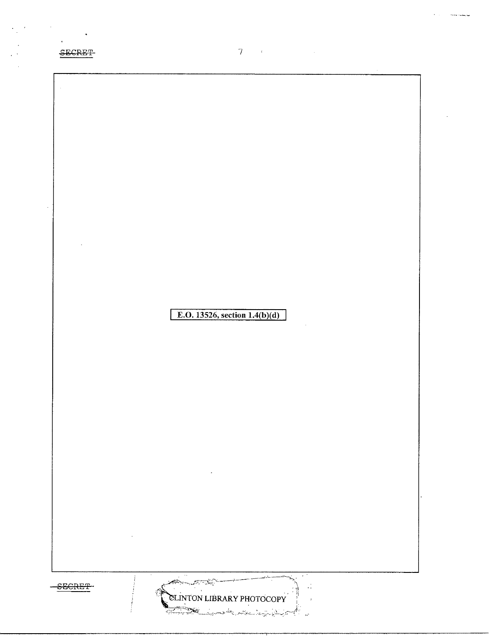



 $\label{eq:1} \mathcal{T} = \mathcal{F} \left( \mathcal{F} \right) \mathcal{F} \left( \mathcal{F} \right) \mathcal{F} \left( \mathcal{F} \right) \mathcal{F} \left( \mathcal{F} \right)$ 

 $\epsilon$  ,  $\epsilon$  ,  $\epsilon$  ,  $\epsilon$  , and consider the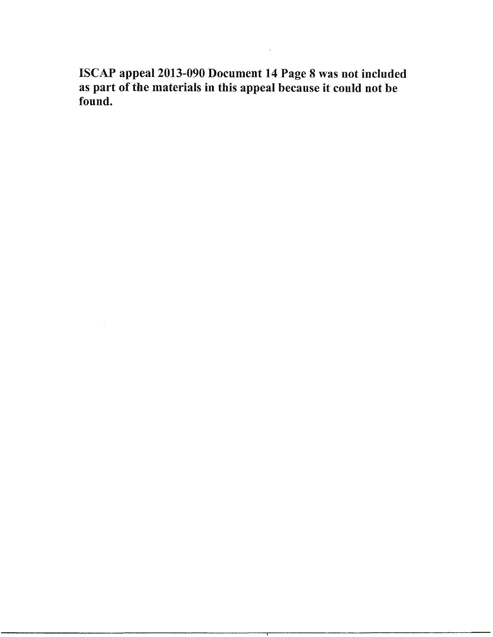ISCAP appeal 2013-090 Document 14 Page 8 was not included as part of the materials in this appeal because it could not be found.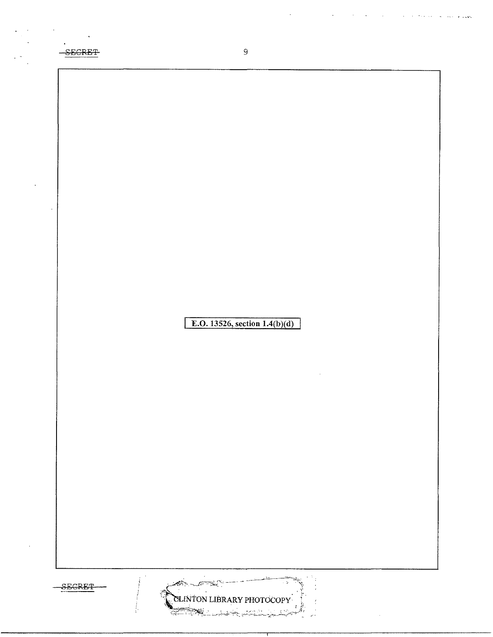

 $\Delta \sim 10^4$ 

 $\mathcal{A}^{\mathcal{A}}$  and  $\mathcal{A}^{\mathcal{A}}$  are  $\mathcal{A}^{\mathcal{A}}$  .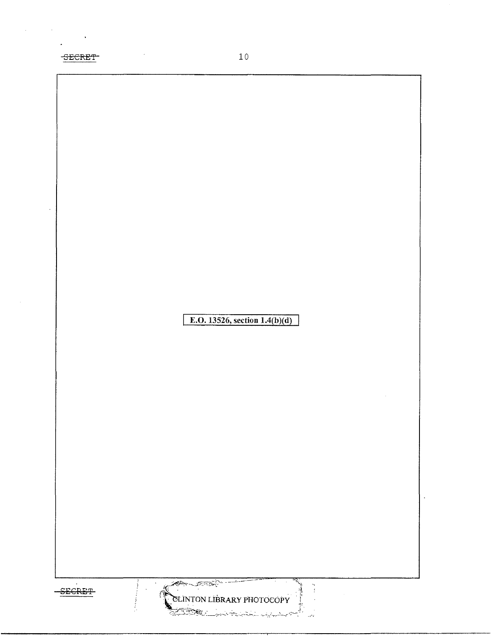SECRET

 $\mathcal{F}$ 

 $\frac{1}{2}$ 

 $\mathcal{A}^{\mathcal{A}}$ 

E.O. 13526, section  $1.4(b)(d)$ 

 $-$ SECRET

1 Á, أولور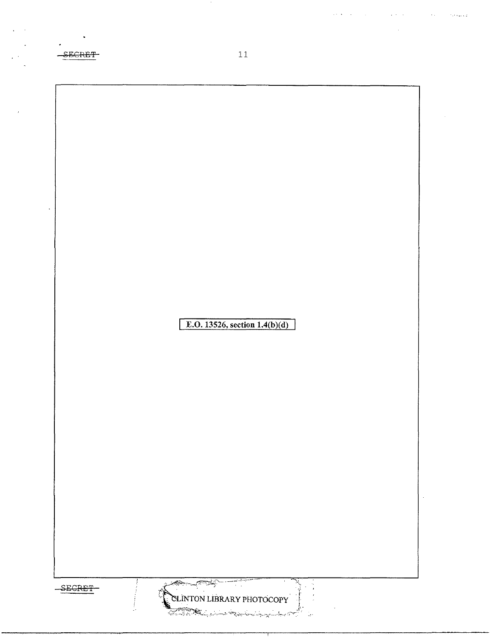$\sim$  $11$  $-$ SECRET E.O. 13526, section  $1.4(b)(d)$  $\mathbb{R}$ CLINTON LIBRARY PHOTOCOPY SECRET-

 $\bar{1}$  $\sim$ 

 $\epsilon^{-1}$ 

 $\mathcal{A}^{\mathcal{A}}(\mathbf{S})$  . As we can also a set of the set of the set of the set of  $\mathcal{A}$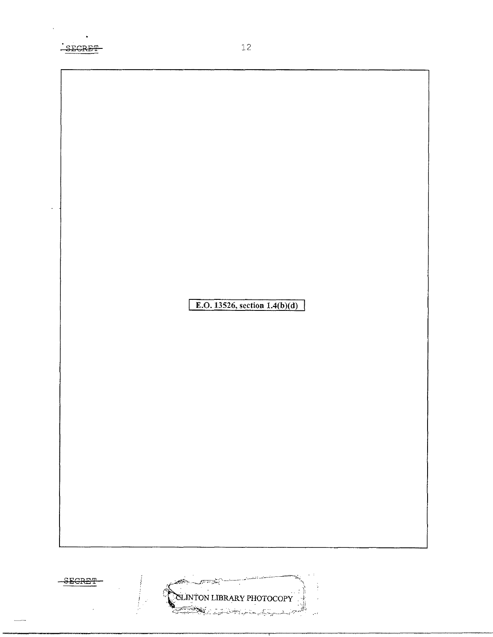



 $\mathcal{L}$ 

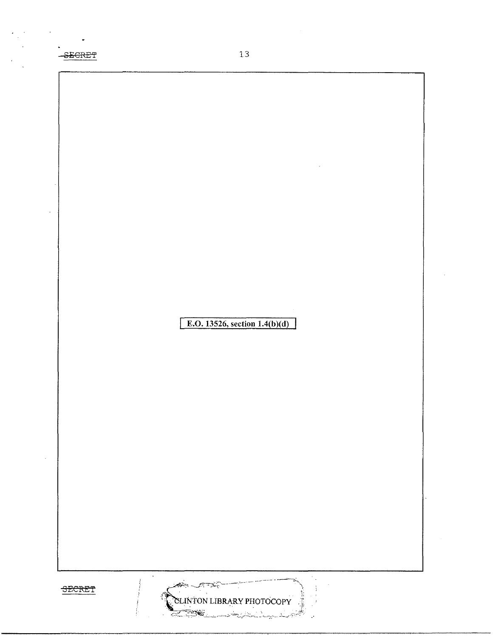-SECRET 13

 $\sim$ 

**E.O. 13526, section 1.4(b)(d)** 

Ans -

رانينديوسيتير

CLINTON LIBRARY PHOTOCOPY

 $\gamma_{\rm{in}}$ 

:

Ų.